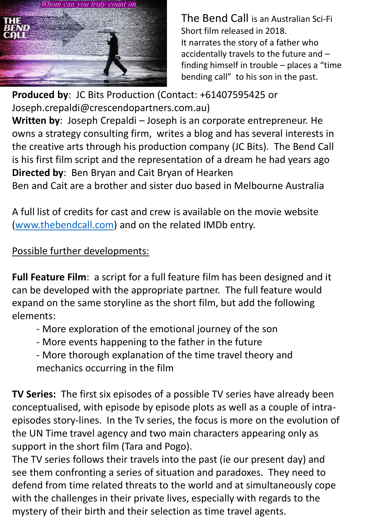

The Bend Call is an Australian Sci-Fi Short film released in 2018. It narrates the story of a father who accidentally travels to the future and – finding himself in trouble – places a "time bending call" to his son in the past.

**Produced by**: JC Bits Production (Contact: +61407595425 or Joseph.crepaldi@crescendopartners.com.au)

**Written by**: Joseph Crepaldi – Joseph is an corporate entrepreneur. He owns a strategy consulting firm, writes a blog and has several interests in the creative arts through his production company (JC Bits). The Bend Call is his first film script and the representation of a dream he had years ago **Directed by**: Ben Bryan and Cait Bryan of Hearken

Ben and Cait are a brother and sister duo based in Melbourne Australia

A full list of credits for cast and crew is available on the movie website ([www.thebendcall.com](http://www.thebendcall.com/)) and on the related IMDb entry.

## Possible further developments:

**Full Feature Film**: a script for a full feature film has been designed and it can be developed with the appropriate partner. The full feature would expand on the same storyline as the short film, but add the following elements:

- More exploration of the emotional journey of the son
- More events happening to the father in the future
- More thorough explanation of the time travel theory and mechanics occurring in the film

**TV Series:** The first six episodes of a possible TV series have already been conceptualised, with episode by episode plots as well as a couple of intraepisodes story-lines. In the Tv series, the focus is more on the evolution of the UN Time travel agency and two main characters appearing only as support in the short film (Tara and Pogo).

The TV series follows their travels into the past (ie our present day) and see them confronting a series of situation and paradoxes. They need to defend from time related threats to the world and at simultaneously cope with the challenges in their private lives, especially with regards to the mystery of their birth and their selection as time travel agents.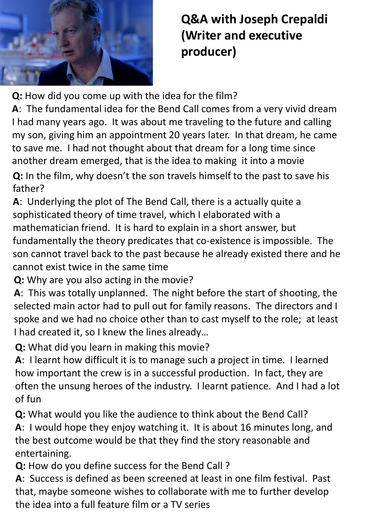

## **Q&A with Joseph Crepaldi (Writer and executive producer)**

**Q:** How did you come up with the idea for the film?

**A**: The fundamental idea for the Bend Call comes from a very vivid dream I had many years ago. It was about me traveling to the future and calling my son, giving him an appointment 20 years later. In that dream, he came to save me. I had not thought about that dream for a long time since another dream emerged, that is the idea to making it into a movie

**Q:** In the film, why doesn't the son travels himself to the past to save his father?

**A**: Underlying the plot of The Bend Call, there is a actually quite a sophisticated theory of time travel, which I elaborated with a mathematician friend. It is hard to explain in a short answer, but fundamentally the theory predicates that co-existence is impossible. The son cannot travel back to the past because he already existed there and he cannot exist twice in the same time

**Q:** Why are you also acting in the movie?

**A**: This was totally unplanned. The night before the start of shooting, the selected main actor had to pull out for family reasons. The directors and I spoke and we had no choice other than to cast myself to the role; at least I had created it, so I knew the lines already…

**Q:** What did you learn in making this movie?

**A**: I learnt how difficult it is to manage such a project in time. I learned how important the crew is in a successful production. In fact, they are often the unsung heroes of the industry. I learnt patience. And I had a lot of fun

**Q:** What would you like the audience to think about the Bend Call?

**A**: I would hope they enjoy watching it. It is about 16 minutes long, and the best outcome would be that they find the story reasonable and entertaining.

**Q:** How do you define success for the Bend Call ?

**A**: Success is defined as been screened at least in one film festival. Past that, maybe someone wishes to collaborate with me to further develop the idea into a full feature film or a TV series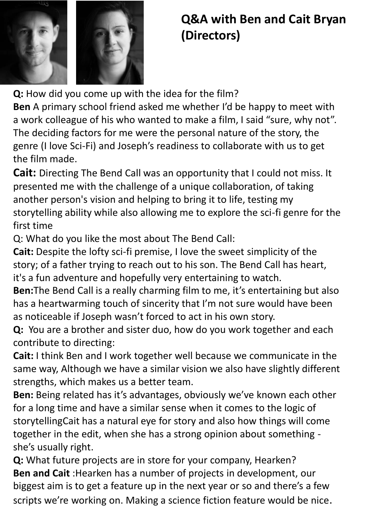

## **Q&A with Ben and Cait Bryan (Directors)**

**Q:** How did you come up with the idea for the film? **Ben** A primary school friend asked me whether I'd be happy to meet with a work colleague of his who wanted to make a film, I said "sure, why not". The deciding factors for me were the personal nature of the story, the genre (I love Sci-Fi) and Joseph's readiness to collaborate with us to get the film made.

**Cait:** Directing The Bend Call was an opportunity that I could not miss. It presented me with the challenge of a unique collaboration, of taking another person's vision and helping to bring it to life, testing my storytelling ability while also allowing me to explore the sci-fi genre for the first time

Q: What do you like the most about The Bend Call:

**Cait:** Despite the lofty sci-fi premise, I love the sweet simplicity of the story; of a father trying to reach out to his son. The Bend Call has heart, it's a fun adventure and hopefully very entertaining to watch.

**Ben:**The Bend Call is a really charming film to me, it's entertaining but also has a heartwarming touch of sincerity that I'm not sure would have been as noticeable if Joseph wasn't forced to act in his own story.

**Q:** You are a brother and sister duo, how do you work together and each contribute to directing:

**Cait:** I think Ben and I work together well because we communicate in the same way, Although we have a similar vision we also have slightly different strengths, which makes us a better team.

**Ben:** Being related has it's advantages, obviously we've known each other for a long time and have a similar sense when it comes to the logic of storytellingCait has a natural eye for story and also how things will come together in the edit, when she has a strong opinion about something she's usually right.

**Q:** What future projects are in store for your company, Hearken? **Ben and Cait** :Hearken has a number of projects in development, our biggest aim is to get a feature up in the next year or so and there's a few scripts we're working on. Making a science fiction feature would be nice.